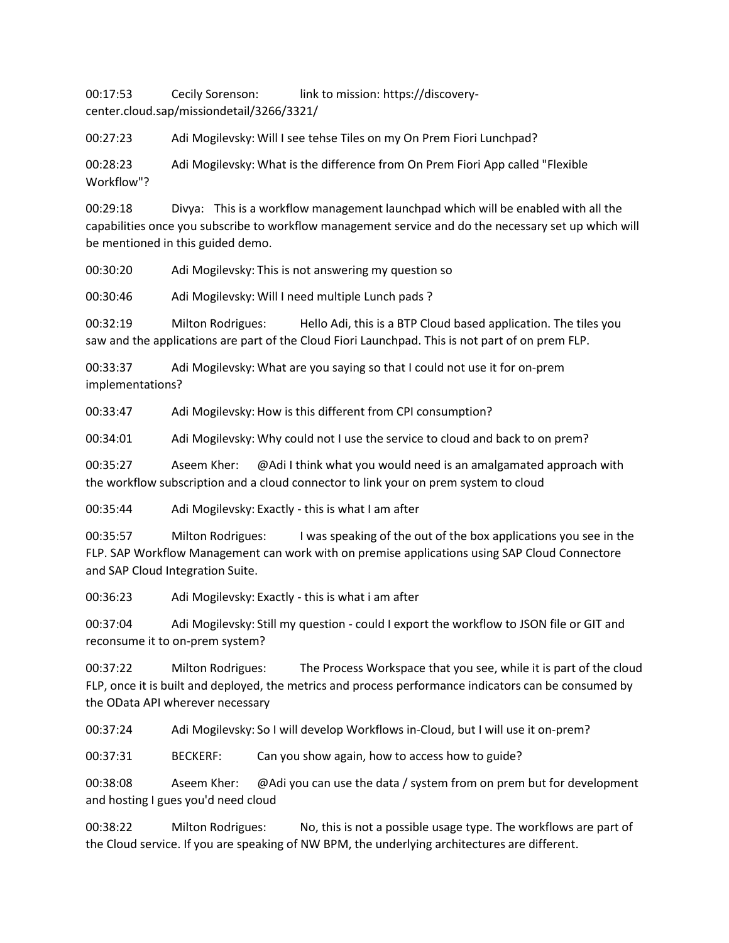00:17:53 Cecily Sorenson: link to mission: https://discoverycenter.cloud.sap/missiondetail/3266/3321/

00:27:23 Adi Mogilevsky: Will I see tehse Tiles on my On Prem Fiori Lunchpad?

00:28:23 Adi Mogilevsky: What is the difference from On Prem Fiori App called "Flexible Workflow"?

00:29:18 Divya: This is a workflow management launchpad which will be enabled with all the capabilities once you subscribe to workflow management service and do the necessary set up which will be mentioned in this guided demo.

00:30:20 Adi Mogilevsky: This is not answering my question so

00:30:46 Adi Mogilevsky: Will I need multiple Lunch pads ?

00:32:19 Milton Rodrigues: Hello Adi, this is a BTP Cloud based application. The tiles you saw and the applications are part of the Cloud Fiori Launchpad. This is not part of on prem FLP.

00:33:37 Adi Mogilevsky: What are you saying so that I could not use it for on-prem implementations?

00:33:47 Adi Mogilevsky: How is this different from CPI consumption?

00:34:01 Adi Mogilevsky: Why could not I use the service to cloud and back to on prem?

00:35:27 Aseem Kher: @Adi I think what you would need is an amalgamated approach with the workflow subscription and a cloud connector to link your on prem system to cloud

00:35:44 Adi Mogilevsky: Exactly - this is what I am after

00:35:57 Milton Rodrigues: I was speaking of the out of the box applications you see in the FLP. SAP Workflow Management can work with on premise applications using SAP Cloud Connectore and SAP Cloud Integration Suite.

00:36:23 Adi Mogilevsky: Exactly - this is what i am after

00:37:04 Adi Mogilevsky: Still my question - could I export the workflow to JSON file or GIT and reconsume it to on-prem system?

00:37:22 Milton Rodrigues: The Process Workspace that you see, while it is part of the cloud FLP, once it is built and deployed, the metrics and process performance indicators can be consumed by the OData API wherever necessary

00:37:24 Adi Mogilevsky: So I will develop Workflows in-Cloud, but I will use it on-prem?

00:37:31 BECKERF: Can you show again, how to access how to guide?

00:38:08 Aseem Kher: @Adi you can use the data / system from on prem but for development and hosting I gues you'd need cloud

00:38:22 Milton Rodrigues: No, this is not a possible usage type. The workflows are part of the Cloud service. If you are speaking of NW BPM, the underlying architectures are different.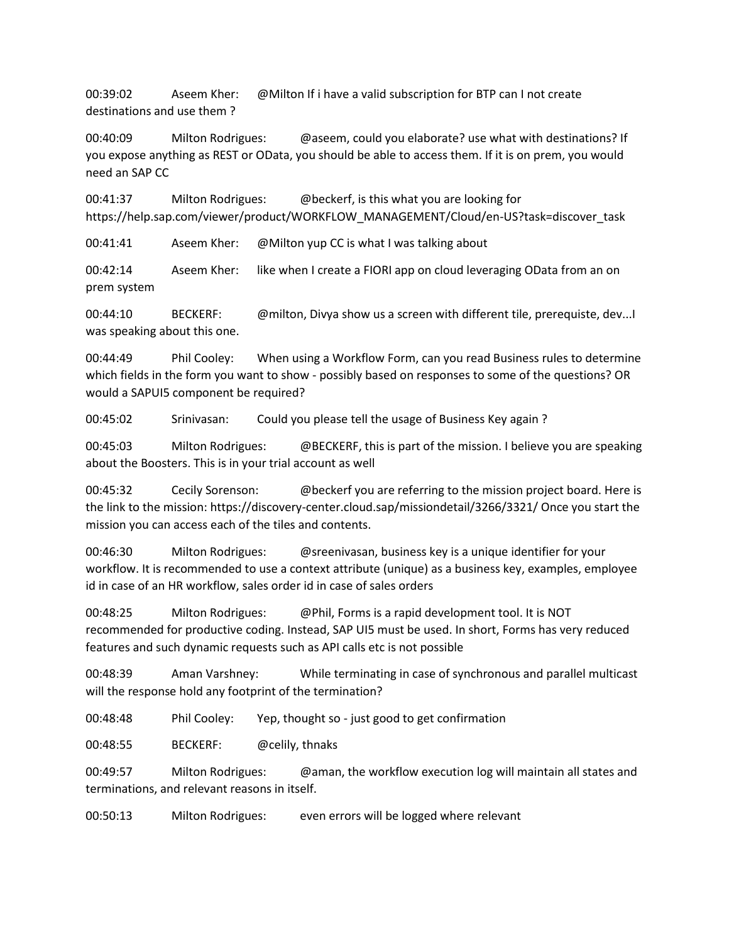00:39:02 Aseem Kher: @Milton If i have a valid subscription for BTP can I not create destinations and use them ?

00:40:09 Milton Rodrigues: @aseem, could you elaborate? use what with destinations? If you expose anything as REST or OData, you should be able to access them. If it is on prem, you would need an SAP CC

00:41:37 Milton Rodrigues: @beckerf, is this what you are looking for https://help.sap.com/viewer/product/WORKFLOW\_MANAGEMENT/Cloud/en-US?task=discover\_task

00:41:41 Aseem Kher: @Milton yup CC is what I was talking about

00:42:14 Aseem Kher: like when I create a FIORI app on cloud leveraging OData from an on prem system

00:44:10 BECKERF: @milton, Divya show us a screen with different tile, prerequiste, dev...I was speaking about this one.

00:44:49 Phil Cooley: When using a Workflow Form, can you read Business rules to determine which fields in the form you want to show - possibly based on responses to some of the questions? OR would a SAPUI5 component be required?

00:45:02 Srinivasan: Could you please tell the usage of Business Key again ?

00:45:03 Milton Rodrigues: @BECKERF, this is part of the mission. I believe you are speaking about the Boosters. This is in your trial account as well

00:45:32 Cecily Sorenson: @beckerf you are referring to the mission project board. Here is the link to the mission: https://discovery-center.cloud.sap/missiondetail/3266/3321/ Once you start the mission you can access each of the tiles and contents.

00:46:30 Milton Rodrigues: @sreenivasan, business key is a unique identifier for your workflow. It is recommended to use a context attribute (unique) as a business key, examples, employee id in case of an HR workflow, sales order id in case of sales orders

00:48:25 Milton Rodrigues: @Phil, Forms is a rapid development tool. It is NOT recommended for productive coding. Instead, SAP UI5 must be used. In short, Forms has very reduced features and such dynamic requests such as API calls etc is not possible

00:48:39 Aman Varshney: While terminating in case of synchronous and parallel multicast will the response hold any footprint of the termination?

00:48:48 Phil Cooley: Yep, thought so - just good to get confirmation

00:48:55 BECKERF: @celily, thnaks

00:49:57 Milton Rodrigues: @aman, the workflow execution log will maintain all states and terminations, and relevant reasons in itself.

00:50:13 Milton Rodrigues: even errors will be logged where relevant